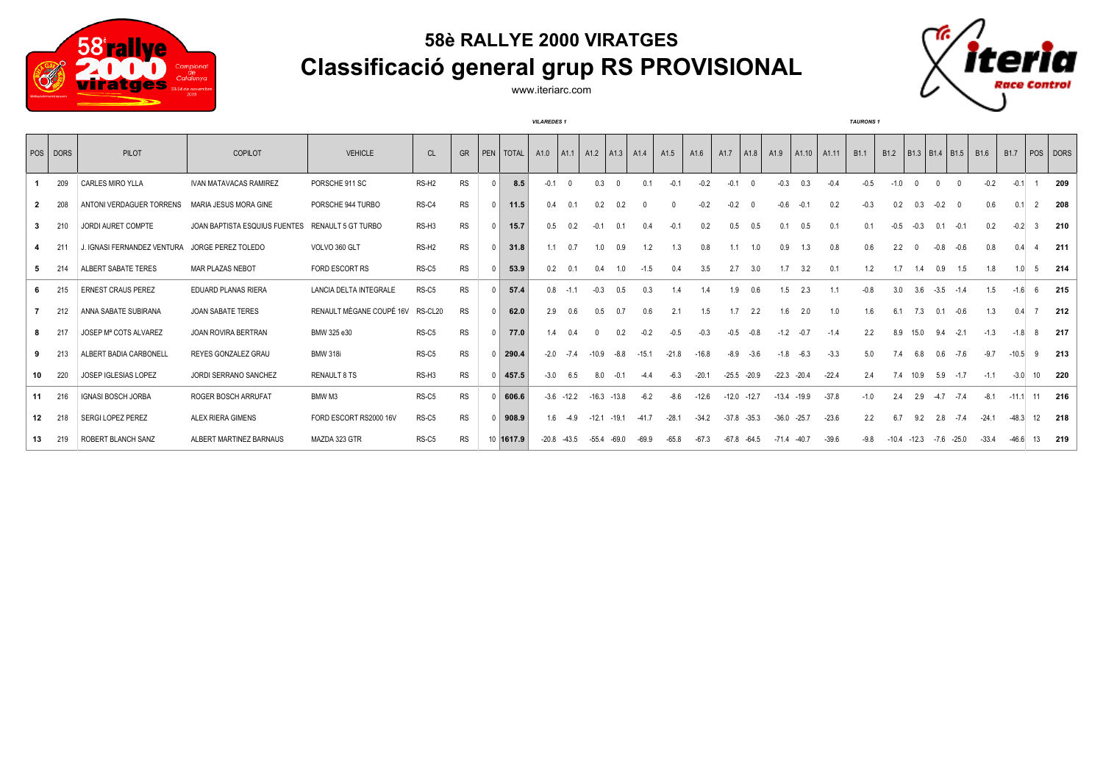

## **58è RALLYE 2000 VIRATGES Classificació general grup RS PROVISIONAL**



*VILAREDES 1 TAURONS 1*



|    | POS DORS | PILOT                       | <b>COPILOT</b>                | <b>VEHICLE</b>            | CL                | <b>GR</b> |   | PEN TOTAL | A1.0    | A1.1          | A <sub>1.2</sub> | $ $ A1.3 $ $ | A1.4    | A <sub>1.5</sub> | A1.6    | A1.7    | A1.8    | A <sub>1.9</sub> | A1.10   | A1.11   | B <sub>1.1</sub> | B <sub>1.2</sub> |          | $B1.3$   B1.4   B1.5 |          | B <sub>1.6</sub> | B <sub>1.7</sub> |                | POS DORS |
|----|----------|-----------------------------|-------------------------------|---------------------------|-------------------|-----------|---|-----------|---------|---------------|------------------|--------------|---------|------------------|---------|---------|---------|------------------|---------|---------|------------------|------------------|----------|----------------------|----------|------------------|------------------|----------------|----------|
|    | 209      | <b>CARLES MIRO YLLA</b>     | <b>IVAN MATAVACAS RAMIREZ</b> | PORSCHE 911 SC            | RS-H <sub>2</sub> | <b>RS</b> |   | 8.5       | $-0.1$  |               | 0.3              | $\sqrt{ }$   | 0.1     | $-0.1$           | $-0.2$  | $-0.1$  |         | $-0.3$           | 0.3     | $-0.4$  |                  | $-1.0$           |          |                      |          | $-0.2$           | $-0.1$           |                | 209      |
|    | 208      | ANTONI VERDAGUER TORRENS    | MARIA JESUS MORA GINE         | PORSCHE 944 TURBO         | RS-C4             | <b>RS</b> |   | 11.5      | 0.4     | 0.1           | 0.2              | 0.2          |         |                  | $-0.2$  | $-0.2$  |         | $-0.6$           | $-0.1$  | 0.2     | $-0.3$           | 0.2              | 0.3      | $-0.2$               | $\Omega$ | 0.6              | 0.1              | $\overline{2}$ | 208      |
| 3  | 210      | JORDI AURET COMPTE          | JOAN BAPTISTA ESQUIUS FUENTES | <b>RENAULT 5 GT TURBO</b> | RS-H3             | <b>RS</b> |   | 15.7      | 0.5     | 0.2           | $-0.1$           | 0.1          | 0.4     | $-0.1$           | 0.2     | 0.5     | 0.5     | 0.1              | 0.5     | 0.1     | 0.1              | $-0.5$           | $-0.3$   | 0.1                  | $-0.1$   | 0.2              | $-0.2$           | 3              | 210      |
|    | 21'      | J. IGNASI FERNANDEZ VENTURA | JORGE PEREZ TOLEDO            | VOLVO 360 GLT             | RS-H <sub>2</sub> | <b>RS</b> |   | 31.8      | 11      | 0.7           | 1.0              | 0.9          | 1.2     | 1.3              | 0.8     | 1.1     | 1.0     | 0.9              | 1.3     | 0.8     | 0.6              | 2.2              | $\Omega$ | $-0.8$               | $-0.6$   | 0.8              |                  |                | 211      |
| 5  | 214      | ALBERT SABATE TERES         | MAR PLAZAS NEBOT              | FORD ESCORT RS            | RS-C5             | <b>RS</b> |   | 53.9      | 0.2     | 0.1           | 0.4              | 1.0          | $-1.5$  | 0.4              | 3.5     | 2.7     | 3.0     | 1.7              | 3.2     | 0.1     | 1.2              | 1.7              | 1.4      | 0.9                  | 1.5      | 1.8              | 1.0 <sub>1</sub> | -5             | 214      |
|    | 215      | <b>ERNEST CRAUS PEREZ</b>   | <b>EDUARD PLANAS RIERA</b>    | LANCIA DELTA INTEGRALE    | RS-C5             | <b>RS</b> | 0 | 57.4      | 0.8     | $-1.1$        | $-0.3$           | 0.5          | 0.3     | 1.4              | 1.4     | 1.9     | 0.6     | 1.5              | 2.3     | 1.1     | $-0.8$           | 3.0              | 3.6      | $-3.5$               | $-1.4$   | 1.5              | $-1.6$           |                | 215      |
|    | 212      | ANNA SABATE SUBIRANA        | <b>JOAN SABATE TERES</b>      | RENAULT MÈGANE COUPÉ 16V  | RS-CL20           | <b>RS</b> |   | 62.0      | 2.9     | 0.6           | 0.5              | 0.7          | 0.6     | 2.1              | 1.5     | 1.7     | 2.2     | 1.6              | 2.0     | 1.0     | 1.6              | 6.1              | 7.3      | 0.1                  | $-0.6$   | 1.3              | 04               |                | 212      |
| 8  | 217      | JOSEP Mª COTS ALVAREZ       | JOAN ROVIRA BERTRAN           | BMW 325 e30               | RS-C5             | <b>RS</b> |   | 77.0      | 1.4     | 0.4           |                  | 0.2          | $-0.2$  | $-0.5$           | $-0.3$  | $-0.5$  | $-0.8$  | $-1.2$           | $-0.7$  | $-1.4$  | 2.2              | 8.9              | 15.0     | 9.4                  | $-2.1$   | $-1.3$           | $-1.8$           |                | 217      |
| 9  | 213      | ALBERT BADIA CARBONELL      | REYES GONZALEZ GRAU           | <b>BMW 318i</b>           | RS-C5             | <b>RS</b> |   | 290.4     | $-2.0$  | $-7.4$        | $-10.9$          | $-8.8$       | $-15.1$ | $-21.8$          | $-16.8$ | $-8.9$  | $-3.6$  | $-1.8$           | $-6.3$  | $-3.3$  | 5.0              | 7.4              | 6.8      | 0.6                  | $-7.6$   | $-9.7$           | $-10.5$          | -9             | 213      |
| 10 | 220      | JOSEP IGLESIAS LOPEZ        | <b>JORDI SERRANO SANCHEZ</b>  | <b>RENAULT 8 TS</b>       | RS-H3             | <b>RS</b> |   | 457.5     | $-3.0$  | 6.5           | 8.0              | $-0.1$       | $-4.4$  | $-6.3$           | $-20.1$ | $-25.5$ | $-20.9$ | $-22.3$          | $-20.4$ | $-22.4$ | 2.4              | 7.4              | 10.9     | 5.9                  | $-1.7$   | $-1.1$           | $-3.0$           | 10             | 220      |
| 11 | 216      | <b>IGNASI BOSCH JORBA</b>   | ROGER BOSCH ARRUFAT           | BMW M3                    | RS-C5             | <b>RS</b> |   | 606.6     |         | $-3.6 - 12.2$ | $-16.3$          | $-13.8$      | $-6.2$  | $-8.6$           | $-12.6$ | $-12.0$ | $-12.7$ | $-13.4$          | $-19.9$ | $-37.8$ | $-1.0$           | 24               | 2.9      | $-4.7$               | $-7.4$   | $-8.1$           | $-11.1$          | 11             | 216      |
| 12 | 218      | SERGI LOPEZ PEREZ           | ALEX RIERA GIMENS             | FORD ESCORT RS2000 16V    | RS-C5             | <b>RS</b> |   | 908.9     | 1.6     | $-4.9$        | $-12.1$          | $-19.1$      | $-41.7$ | $-28.1$          | $-34.2$ | $-37.8$ | $-35.3$ | $-36.0$          | $-25.7$ | $-23.6$ | 2.2              | 6.7              | 9.2      | 2.8                  | $-7.4$   | $-24.1$          | $-48.3$          | 12             | 218      |
| 13 | 219      | ROBERT BLANCH SANZ          | ALBERT MARTINEZ BARNAUS       | MAZDA 323 GTR             | RS-C5             | <b>RS</b> |   | 10 1617.9 | $-20.8$ | $-43.5$       | $-55.4$          | $-69.0$      | $-69.9$ | $-65.8$          | $-67.3$ | $-67.8$ | $-64.5$ | $-71.4$          | $-40.7$ | $-39.6$ | $-9.8$           | $-10.4$          | $-12.3$  | $-7.6 -25.0$         |          | $-33.4$          | $-46.6$          | 13             | 219      |